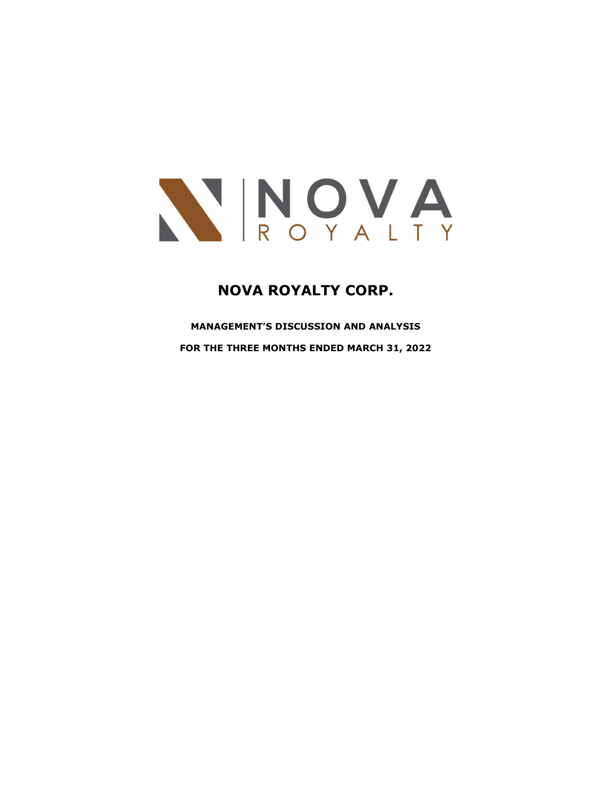

# NOVA ROYALTY CORP.

MANAGEMENT'S DISCUSSION AND ANALYSIS FOR THE THREE MONTHS ENDED MARCH 31, 2022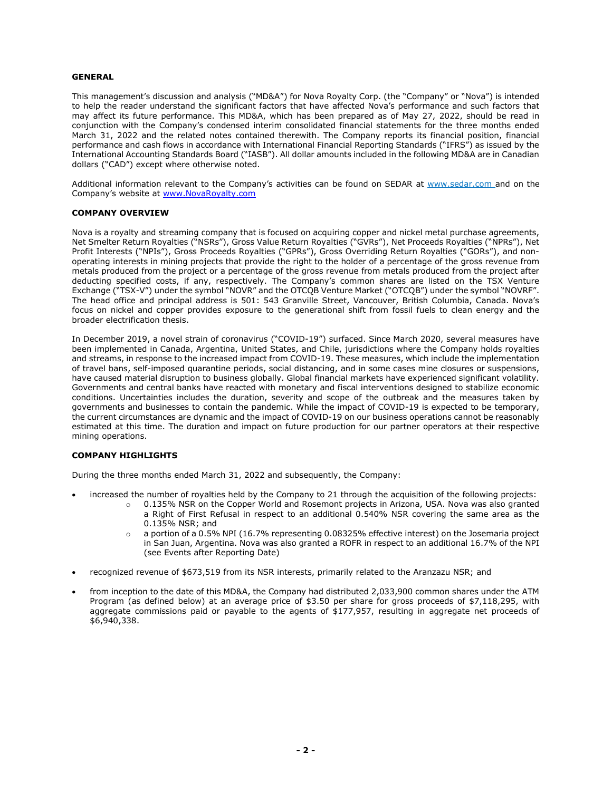#### GENERAL

This management's discussion and analysis ("MD&A") for Nova Royalty Corp. (the "Company" or "Nova") is intended to help the reader understand the significant factors that have affected Nova's performance and such factors that may affect its future performance. This MD&A, which has been prepared as of May 27, 2022, should be read in conjunction with the Company's condensed interim consolidated financial statements for the three months ended March 31, 2022 and the related notes contained therewith. The Company reports its financial position, financial performance and cash flows in accordance with International Financial Reporting Standards ("IFRS") as issued by the International Accounting Standards Board ("IASB"). All dollar amounts included in the following MD&A are in Canadian dollars ("CAD") except where otherwise noted.

Additional information relevant to the Company's activities can be found on SEDAR at www.sedar.com and on the Company's website at www.NovaRoyalty.com

#### COMPANY OVERVIEW

Nova is a royalty and streaming company that is focused on acquiring copper and nickel metal purchase agreements, Net Smelter Return Royalties ("NSRs"), Gross Value Return Royalties ("GVRs"), Net Proceeds Royalties ("NPRs"), Net Profit Interests ("NPIs"), Gross Proceeds Royalties ("GPRs"), Gross Overriding Return Royalties ("GORs"), and nonoperating interests in mining projects that provide the right to the holder of a percentage of the gross revenue from metals produced from the project or a percentage of the gross revenue from metals produced from the project after deducting specified costs, if any, respectively. The Company's common shares are listed on the TSX Venture Exchange ("TSX-V") under the symbol "NOVR" and the OTCQB Venture Market ("OTCQB") under the symbol "NOVRF". The head office and principal address is 501: 543 Granville Street, Vancouver, British Columbia, Canada. Nova's focus on nickel and copper provides exposure to the generational shift from fossil fuels to clean energy and the broader electrification thesis.

In December 2019, a novel strain of coronavirus ("COVID-19") surfaced. Since March 2020, several measures have been implemented in Canada, Argentina, United States, and Chile, jurisdictions where the Company holds royalties and streams, in response to the increased impact from COVID-19. These measures, which include the implementation of travel bans, self-imposed quarantine periods, social distancing, and in some cases mine closures or suspensions, have caused material disruption to business globally. Global financial markets have experienced significant volatility. Governments and central banks have reacted with monetary and fiscal interventions designed to stabilize economic conditions. Uncertainties includes the duration, severity and scope of the outbreak and the measures taken by governments and businesses to contain the pandemic. While the impact of COVID-19 is expected to be temporary, the current circumstances are dynamic and the impact of COVID-19 on our business operations cannot be reasonably estimated at this time. The duration and impact on future production for our partner operators at their respective mining operations.

## COMPANY HIGHLIGHTS

During the three months ended March 31, 2022 and subsequently, the Company:

- increased the number of royalties held by the Company to 21 through the acquisition of the following projects:
	- o 0.135% NSR on the Copper World and Rosemont projects in Arizona, USA. Nova was also granted a Right of First Refusal in respect to an additional 0.540% NSR covering the same area as the 0.135% NSR; and
	- $\circ$  a portion of a 0.5% NPI (16.7% representing 0.08325% effective interest) on the Josemaria project in San Juan, Argentina. Nova was also granted a ROFR in respect to an additional 16.7% of the NPI (see Events after Reporting Date)
- recognized revenue of \$673,519 from its NSR interests, primarily related to the Aranzazu NSR; and
- from inception to the date of this MD&A, the Company had distributed 2,033,900 common shares under the ATM Program (as defined below) at an average price of \$3.50 per share for gross proceeds of \$7,118,295, with aggregate commissions paid or payable to the agents of \$177,957, resulting in aggregate net proceeds of \$6,940,338.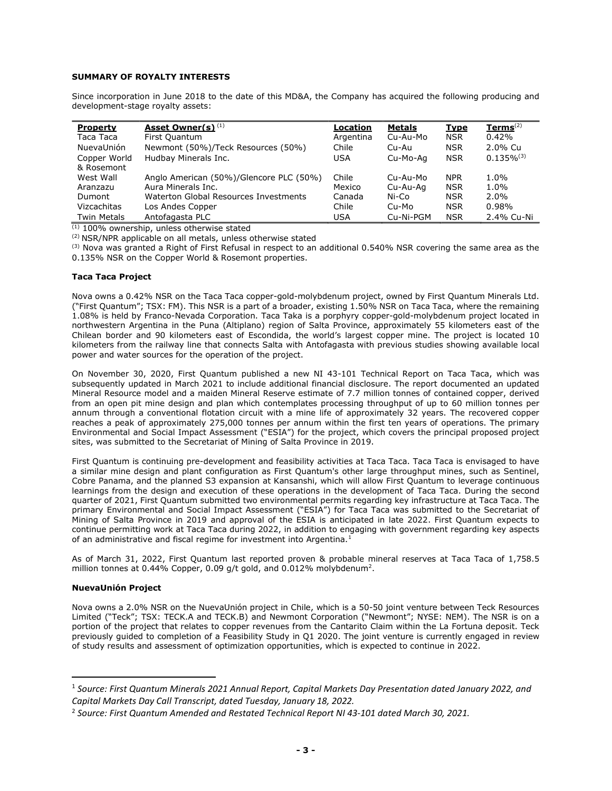## SUMMARY OF ROYALTY INTERESTS

Since incorporation in June 2018 to the date of this MD&A, the Company has acquired the following producing and development-stage royalty assets:

| <b>Property</b>    | Asset Owner(s) <sup>(1)</sup>           | Location   | <b>Metals</b> | <b>Type</b> | $Terms^{(2)}$   |
|--------------------|-----------------------------------------|------------|---------------|-------------|-----------------|
| Taca Taca          | First Quantum                           | Argentina  | Cu-Au-Mo      | <b>NSR</b>  | 0.42%           |
| NuevaUnión         | Newmont (50%)/Teck Resources (50%)      | Chile      | Cu-Au         | <b>NSR</b>  | 2.0% Cu         |
| Copper World       | Hudbay Minerals Inc.                    | <b>USA</b> | Cu-Mo-Aa      | <b>NSR</b>  | $0.135\%^{(3)}$ |
| & Rosemont         |                                         |            |               |             |                 |
| West Wall          | Anglo American (50%)/Glencore PLC (50%) | Chile      | Cu-Au-Mo      | <b>NPR</b>  | $1.0\%$         |
| Aranzazu           | Aura Minerals Inc.                      | Mexico     | Cu-Au-Ag      | <b>NSR</b>  | $1.0\%$         |
| <b>Dumont</b>      | Waterton Global Resources Investments   | Canada     | Ni-Co         | <b>NSR</b>  | $2.0\%$         |
| Vizcachitas        | Los Andes Copper                        | Chile      | Cu-Mo         | <b>NSR</b>  | 0.98%           |
| <b>Twin Metals</b> | Antofagasta PLC                         | <b>USA</b> | Cu-Ni-PGM     | <b>NSR</b>  | 2.4% Cu-Ni      |

 $(1)$  100% ownership, unless otherwise stated

(2) NSR/NPR applicable on all metals, unless otherwise stated

 $(3)$  Nova was granted a Right of First Refusal in respect to an additional 0.540% NSR covering the same area as the 0.135% NSR on the Copper World & Rosemont properties.

## Taca Taca Project

Nova owns a 0.42% NSR on the Taca Taca copper-gold-molybdenum project, owned by First Quantum Minerals Ltd. ("First Quantum"; TSX: FM). This NSR is a part of a broader, existing 1.50% NSR on Taca Taca, where the remaining 1.08% is held by Franco-Nevada Corporation. Taca Taka is a porphyry copper-gold-molybdenum project located in northwestern Argentina in the Puna (Altiplano) region of Salta Province, approximately 55 kilometers east of the Chilean border and 90 kilometers east of Escondida, the world's largest copper mine. The project is located 10 kilometers from the railway line that connects Salta with Antofagasta with previous studies showing available local power and water sources for the operation of the project.

On November 30, 2020, First Quantum published a new NI 43-101 Technical Report on Taca Taca, which was subsequently updated in March 2021 to include additional financial disclosure. The report documented an updated Mineral Resource model and a maiden Mineral Reserve estimate of 7.7 million tonnes of contained copper, derived from an open pit mine design and plan which contemplates processing throughput of up to 60 million tonnes per annum through a conventional flotation circuit with a mine life of approximately 32 years. The recovered copper reaches a peak of approximately 275,000 tonnes per annum within the first ten years of operations. The primary Environmental and Social Impact Assessment ("ESIA") for the project, which covers the principal proposed project sites, was submitted to the Secretariat of Mining of Salta Province in 2019.

First Quantum is continuing pre-development and feasibility activities at Taca Taca. Taca Taca is envisaged to have a similar mine design and plant configuration as First Quantum's other large throughput mines, such as Sentinel, Cobre Panama, and the planned S3 expansion at Kansanshi, which will allow First Quantum to leverage continuous learnings from the design and execution of these operations in the development of Taca Taca. During the second quarter of 2021, First Quantum submitted two environmental permits regarding key infrastructure at Taca Taca. The primary Environmental and Social Impact Assessment ("ESIA") for Taca Taca was submitted to the Secretariat of Mining of Salta Province in 2019 and approval of the ESIA is anticipated in late 2022. First Quantum expects to continue permitting work at Taca Taca during 2022, in addition to engaging with government regarding key aspects of an administrative and fiscal regime for investment into Argentina.<sup>1</sup>

As of March 31, 2022, First Quantum last reported proven & probable mineral reserves at Taca Taca of 1,758.5 million tonnes at 0.44% Copper, 0.09 g/t gold, and 0.012% molybdenum<sup>2</sup>.

# NuevaUnión Project

Nova owns a 2.0% NSR on the NuevaUnión project in Chile, which is a 50-50 joint venture between Teck Resources Limited ("Teck"; TSX: TECK.A and TECK.B) and Newmont Corporation ("Newmont"; NYSE: NEM). The NSR is on a portion of the project that relates to copper revenues from the Cantarito Claim within the La Fortuna deposit. Teck previously guided to completion of a Feasibility Study in Q1 2020. The joint venture is currently engaged in review of study results and assessment of optimization opportunities, which is expected to continue in 2022.

<sup>1</sup> Source: First Quantum Minerals 2021 Annual Report, Capital Markets Day Presentation dated January 2022, and Capital Markets Day Call Transcript, dated Tuesday, January 18, 2022.

<sup>&</sup>lt;sup>2</sup> Source: First Quantum Amended and Restated Technical Report NI 43-101 dated March 30, 2021.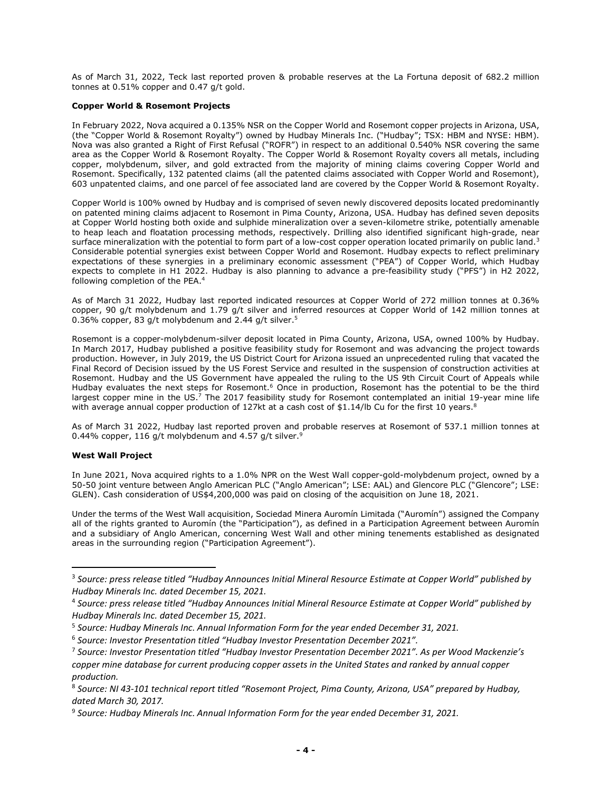As of March 31, 2022, Teck last reported proven & probable reserves at the La Fortuna deposit of 682.2 million tonnes at 0.51% copper and 0.47 g/t gold.

## Copper World & Rosemont Projects

In February 2022, Nova acquired a 0.135% NSR on the Copper World and Rosemont copper projects in Arizona, USA, (the "Copper World & Rosemont Royalty") owned by Hudbay Minerals Inc. ("Hudbay"; TSX: HBM and NYSE: HBM). Nova was also granted a Right of First Refusal ("ROFR") in respect to an additional 0.540% NSR covering the same area as the Copper World & Rosemont Royalty. The Copper World & Rosemont Royalty covers all metals, including copper, molybdenum, silver, and gold extracted from the majority of mining claims covering Copper World and Rosemont. Specifically, 132 patented claims (all the patented claims associated with Copper World and Rosemont), 603 unpatented claims, and one parcel of fee associated land are covered by the Copper World & Rosemont Royalty.

Copper World is 100% owned by Hudbay and is comprised of seven newly discovered deposits located predominantly on patented mining claims adjacent to Rosemont in Pima County, Arizona, USA. Hudbay has defined seven deposits at Copper World hosting both oxide and sulphide mineralization over a seven-kilometre strike, potentially amenable to heap leach and floatation processing methods, respectively. Drilling also identified significant high-grade, near surface mineralization with the potential to form part of a low-cost copper operation located primarily on public land.<sup>3</sup> Considerable potential synergies exist between Copper World and Rosemont. Hudbay expects to reflect preliminary expectations of these synergies in a preliminary economic assessment ("PEA") of Copper World, which Hudbay expects to complete in H1 2022. Hudbay is also planning to advance a pre-feasibility study ("PFS") in H2 2022, following completion of the PEA.<sup>4</sup>

As of March 31 2022, Hudbay last reported indicated resources at Copper World of 272 million tonnes at 0.36% copper, 90 g/t molybdenum and 1.79 g/t silver and inferred resources at Copper World of 142 million tonnes at 0.36% copper, 83 g/t molybdenum and 2.44 g/t silver. $5$ 

Rosemont is a copper-molybdenum-silver deposit located in Pima County, Arizona, USA, owned 100% by Hudbay. In March 2017, Hudbay published a positive feasibility study for Rosemont and was advancing the project towards production. However, in July 2019, the US District Court for Arizona issued an unprecedented ruling that vacated the Final Record of Decision issued by the US Forest Service and resulted in the suspension of construction activities at Rosemont. Hudbay and the US Government have appealed the ruling to the US 9th Circuit Court of Appeals while Hudbay evaluates the next steps for Rosemont.<sup>6</sup> Once in production, Rosemont has the potential to be the third largest copper mine in the US.<sup>7</sup> The 2017 feasibility study for Rosemont contemplated an initial 19-year mine life with average annual copper production of 127kt at a cash cost of \$1.14/lb Cu for the first 10 years.<sup>8</sup>

As of March 31 2022, Hudbay last reported proven and probable reserves at Rosemont of 537.1 million tonnes at 0.44% copper, 116 g/t molybdenum and 4.57 g/t silver.<sup>9</sup>

## West Wall Project

In June 2021, Nova acquired rights to a 1.0% NPR on the West Wall copper-gold-molybdenum project, owned by a 50-50 joint venture between Anglo American PLC ("Anglo American"; LSE: AAL) and Glencore PLC ("Glencore"; LSE: GLEN). Cash consideration of US\$4,200,000 was paid on closing of the acquisition on June 18, 2021.

Under the terms of the West Wall acquisition, Sociedad Minera Auromín Limitada ("Auromín") assigned the Company all of the rights granted to Auromín (the "Participation"), as defined in a Participation Agreement between Auromín and a subsidiary of Anglo American, concerning West Wall and other mining tenements established as designated areas in the surrounding region ("Participation Agreement").

<sup>&</sup>lt;sup>3</sup> Source: press release titled "Hudbay Announces Initial Mineral Resource Estimate at Copper World" published by Hudbay Minerals Inc. dated December 15, 2021.

<sup>4</sup> Source: press release titled "Hudbay Announces Initial Mineral Resource Estimate at Copper World" published by Hudbay Minerals Inc. dated December 15, 2021.

<sup>5</sup> Source: Hudbay Minerals Inc. Annual Information Form for the year ended December 31, 2021.

<sup>&</sup>lt;sup>6</sup> Source: Investor Presentation titled "Hudbay Investor Presentation December 2021".

<sup>&</sup>lt;sup>7</sup> Source: Investor Presentation titled "Hudbay Investor Presentation December 2021". As per Wood Mackenzie's copper mine database for current producing copper assets in the United States and ranked by annual copper production.

<sup>8</sup> Source: NI 43-101 technical report titled "Rosemont Project, Pima County, Arizona, USA" prepared by Hudbay, dated March 30, 2017.

<sup>9</sup> Source: Hudbay Minerals Inc. Annual Information Form for the year ended December 31, 2021.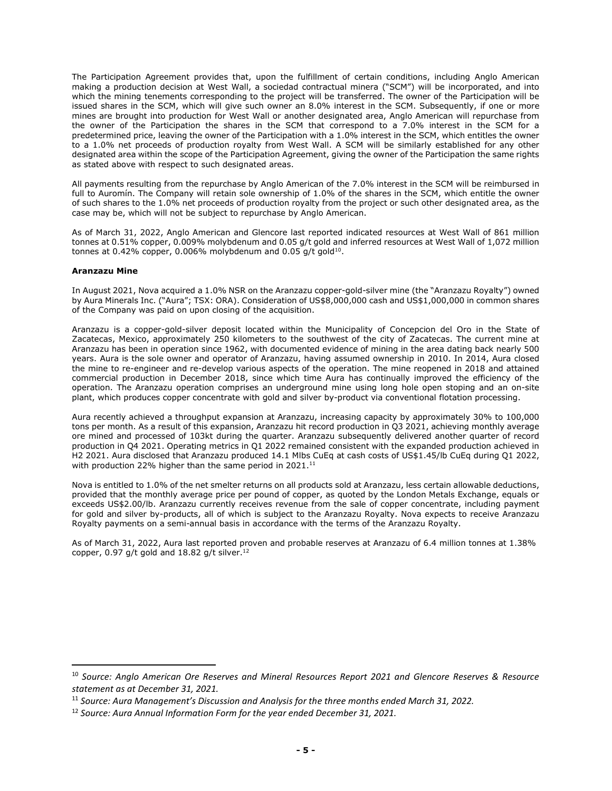The Participation Agreement provides that, upon the fulfillment of certain conditions, including Anglo American making a production decision at West Wall, a sociedad contractual minera ("SCM") will be incorporated, and into which the mining tenements corresponding to the project will be transferred. The owner of the Participation will be issued shares in the SCM, which will give such owner an 8.0% interest in the SCM. Subsequently, if one or more mines are brought into production for West Wall or another designated area, Anglo American will repurchase from the owner of the Participation the shares in the SCM that correspond to a 7.0% interest in the SCM for a predetermined price, leaving the owner of the Participation with a 1.0% interest in the SCM, which entitles the owner to a 1.0% net proceeds of production royalty from West Wall. A SCM will be similarly established for any other designated area within the scope of the Participation Agreement, giving the owner of the Participation the same rights as stated above with respect to such designated areas.

All payments resulting from the repurchase by Anglo American of the 7.0% interest in the SCM will be reimbursed in full to Auromín. The Company will retain sole ownership of 1.0% of the shares in the SCM, which entitle the owner of such shares to the 1.0% net proceeds of production royalty from the project or such other designated area, as the case may be, which will not be subject to repurchase by Anglo American.

As of March 31, 2022, Anglo American and Glencore last reported indicated resources at West Wall of 861 million tonnes at 0.51% copper, 0.009% molybdenum and 0.05 g/t gold and inferred resources at West Wall of 1,072 million tonnes at 0.42% copper, 0.006% molybdenum and 0.05 g/t gold $^{10}$ .

#### Aranzazu Mine

In August 2021, Nova acquired a 1.0% NSR on the Aranzazu copper-gold-silver mine (the "Aranzazu Royalty") owned by Aura Minerals Inc. ("Aura"; TSX: ORA). Consideration of US\$8,000,000 cash and US\$1,000,000 in common shares of the Company was paid on upon closing of the acquisition.

Aranzazu is a copper-gold-silver deposit located within the Municipality of Concepcion del Oro in the State of Zacatecas, Mexico, approximately 250 kilometers to the southwest of the city of Zacatecas. The current mine at Aranzazu has been in operation since 1962, with documented evidence of mining in the area dating back nearly 500 years. Aura is the sole owner and operator of Aranzazu, having assumed ownership in 2010. In 2014, Aura closed the mine to re-engineer and re-develop various aspects of the operation. The mine reopened in 2018 and attained commercial production in December 2018, since which time Aura has continually improved the efficiency of the operation. The Aranzazu operation comprises an underground mine using long hole open stoping and an on-site plant, which produces copper concentrate with gold and silver by-product via conventional flotation processing.

Aura recently achieved a throughput expansion at Aranzazu, increasing capacity by approximately 30% to 100,000 tons per month. As a result of this expansion, Aranzazu hit record production in Q3 2021, achieving monthly average ore mined and processed of 103kt during the quarter. Aranzazu subsequently delivered another quarter of record production in Q4 2021. Operating metrics in Q1 2022 remained consistent with the expanded production achieved in H2 2021. Aura disclosed that Aranzazu produced 14.1 Mlbs CuEq at cash costs of US\$1.45/lb CuEq during Q1 2022, with production 22% higher than the same period in 2021. $^{11}$ 

Nova is entitled to 1.0% of the net smelter returns on all products sold at Aranzazu, less certain allowable deductions, provided that the monthly average price per pound of copper, as quoted by the London Metals Exchange, equals or exceeds US\$2.00/lb. Aranzazu currently receives revenue from the sale of copper concentrate, including payment for gold and silver by-products, all of which is subject to the Aranzazu Royalty. Nova expects to receive Aranzazu Royalty payments on a semi-annual basis in accordance with the terms of the Aranzazu Royalty.

As of March 31, 2022, Aura last reported proven and probable reserves at Aranzazu of 6.4 million tonnes at 1.38% copper, 0.97 g/t gold and 18.82 g/t silver. $12$ 

<sup>&</sup>lt;sup>10</sup> Source: Anglo American Ore Reserves and Mineral Resources Report 2021 and Glencore Reserves & Resource statement as at December 31, 2021.

<sup>&</sup>lt;sup>11</sup> Source: Aura Management's Discussion and Analysis for the three months ended March 31, 2022.

<sup>&</sup>lt;sup>12</sup> Source: Aura Annual Information Form for the year ended December 31, 2021.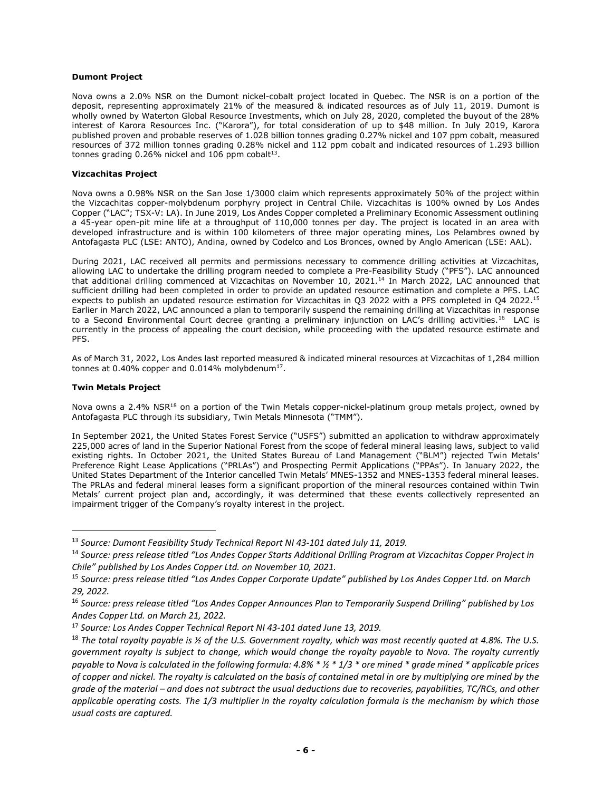## Dumont Project

Nova owns a 2.0% NSR on the Dumont nickel-cobalt project located in Quebec. The NSR is on a portion of the deposit, representing approximately 21% of the measured & indicated resources as of July 11, 2019. Dumont is wholly owned by Waterton Global Resource Investments, which on July 28, 2020, completed the buyout of the 28% interest of Karora Resources Inc. ("Karora"), for total consideration of up to \$48 million. In July 2019, Karora published proven and probable reserves of 1.028 billion tonnes grading 0.27% nickel and 107 ppm cobalt, measured resources of 372 million tonnes grading 0.28% nickel and 112 ppm cobalt and indicated resources of 1.293 billion tonnes grading  $0.26\%$  nickel and 106 ppm cobalt<sup>13</sup>.

## Vizcachitas Project

Nova owns a 0.98% NSR on the San Jose 1/3000 claim which represents approximately 50% of the project within the Vizcachitas copper-molybdenum porphyry project in Central Chile. Vizcachitas is 100% owned by Los Andes Copper ("LAC"; TSX-V: LA). In June 2019, Los Andes Copper completed a Preliminary Economic Assessment outlining a 45-year open-pit mine life at a throughput of 110,000 tonnes per day. The project is located in an area with developed infrastructure and is within 100 kilometers of three major operating mines, Los Pelambres owned by Antofagasta PLC (LSE: ANTO), Andina, owned by Codelco and Los Bronces, owned by Anglo American (LSE: AAL).

During 2021, LAC received all permits and permissions necessary to commence drilling activities at Vizcachitas, allowing LAC to undertake the drilling program needed to complete a Pre-Feasibility Study ("PFS"). LAC announced that additional drilling commenced at Vizcachitas on November 10, 2021.<sup>14</sup> In March 2022, LAC announced that sufficient drilling had been completed in order to provide an updated resource estimation and complete a PFS. LAC expects to publish an updated resource estimation for Vizcachitas in Q3 2022 with a PFS completed in Q4 2022.<sup>15</sup> Earlier in March 2022, LAC announced a plan to temporarily suspend the remaining drilling at Vizcachitas in response to a Second Environmental Court decree granting a preliminary injunction on LAC's drilling activities.<sup>16</sup> LAC is currently in the process of appealing the court decision, while proceeding with the updated resource estimate and PFS.

As of March 31, 2022, Los Andes last reported measured & indicated mineral resources at Vizcachitas of 1,284 million tonnes at 0.40% copper and 0.014% molybdenum<sup>17</sup>.

## Twin Metals Project

Nova owns a 2.4% NSR<sup>18</sup> on a portion of the Twin Metals copper-nickel-platinum group metals project, owned by Antofagasta PLC through its subsidiary, Twin Metals Minnesota ("TMM").

In September 2021, the United States Forest Service ("USFS") submitted an application to withdraw approximately 225,000 acres of land in the Superior National Forest from the scope of federal mineral leasing laws, subject to valid existing rights. In October 2021, the United States Bureau of Land Management ("BLM") rejected Twin Metals' Preference Right Lease Applications ("PRLAs") and Prospecting Permit Applications ("PPAs"). In January 2022, the United States Department of the Interior cancelled Twin Metals' MNES-1352 and MNES-1353 federal mineral leases. The PRLAs and federal mineral leases form a significant proportion of the mineral resources contained within Twin Metals' current project plan and, accordingly, it was determined that these events collectively represented an impairment trigger of the Company's royalty interest in the project.

<sup>&</sup>lt;sup>13</sup> Source: Dumont Feasibility Study Technical Report NI 43-101 dated July 11, 2019.

<sup>&</sup>lt;sup>14</sup> Source: press release titled "Los Andes Copper Starts Additional Drilling Program at Vizcachitas Copper Project in Chile" published by Los Andes Copper Ltd. on November 10, 2021.

<sup>15</sup> Source: press release titled "Los Andes Copper Corporate Update" published by Los Andes Copper Ltd. on March 29, 2022.

<sup>&</sup>lt;sup>16</sup> Source: press release titled "Los Andes Copper Announces Plan to Temporarily Suspend Drilling" published by Los Andes Copper Ltd. on March 21, 2022.

<sup>&</sup>lt;sup>17</sup> Source: Los Andes Copper Technical Report NI 43-101 dated June 13, 2019.

<sup>&</sup>lt;sup>18</sup> The total royalty payable is  $\frac{1}{2}$  of the U.S. Government royalty, which was most recently quoted at 4.8%. The U.S. government royalty is subject to change, which would change the royalty payable to Nova. The royalty currently payable to Nova is calculated in the following formula:  $4.8\% * \frac{1}{3} *$  ore mined \* grade mined \* applicable prices of copper and nickel. The royalty is calculated on the basis of contained metal in ore by multiplying ore mined by the grade of the material – and does not subtract the usual deductions due to recoveries, payabilities, TC/RCs, and other applicable operating costs. The 1/3 multiplier in the royalty calculation formula is the mechanism by which those usual costs are captured.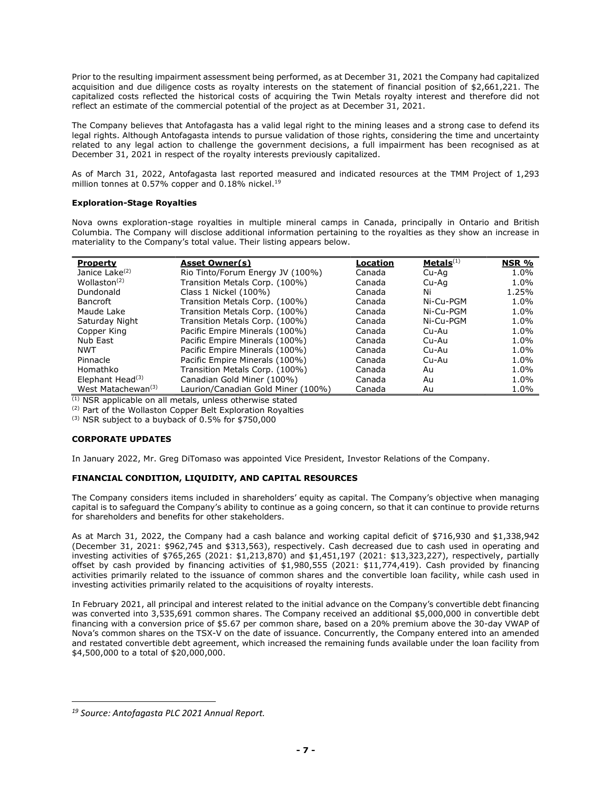Prior to the resulting impairment assessment being performed, as at December 31, 2021 the Company had capitalized acquisition and due diligence costs as royalty interests on the statement of financial position of \$2,661,221. The capitalized costs reflected the historical costs of acquiring the Twin Metals royalty interest and therefore did not reflect an estimate of the commercial potential of the project as at December 31, 2021.

The Company believes that Antofagasta has a valid legal right to the mining leases and a strong case to defend its legal rights. Although Antofagasta intends to pursue validation of those rights, considering the time and uncertainty related to any legal action to challenge the government decisions, a full impairment has been recognised as at December 31, 2021 in respect of the royalty interests previously capitalized.

As of March 31, 2022, Antofagasta last reported measured and indicated resources at the TMM Project of 1,293 million tonnes at 0.57% copper and 0.18% nickel.<sup>19</sup>

# Exploration-Stage Royalties

Nova owns exploration-stage royalties in multiple mineral camps in Canada, principally in Ontario and British Columbia. The Company will disclose additional information pertaining to the royalties as they show an increase in materiality to the Company's total value. Their listing appears below.

| <b>Property</b>                | Asset Owner(s)                     | Location | Metals <sup>(1)</sup> | NSR %   |
|--------------------------------|------------------------------------|----------|-----------------------|---------|
| Janice Lake <sup>(2)</sup>     | Rio Tinto/Forum Energy JV (100%)   | Canada   | Cu-Aq                 | 1.0%    |
| Wollaston <sup>(2)</sup>       | Transition Metals Corp. (100%)     | Canada   | Cu-Aa                 | 1.0%    |
| Dundonald                      | Class 1 Nickel (100%)              | Canada   | Ni                    | 1.25%   |
| <b>Bancroft</b>                | Transition Metals Corp. (100%)     | Canada   | Ni-Cu-PGM             | 1.0%    |
| Maude Lake                     | Transition Metals Corp. (100%)     | Canada   | Ni-Cu-PGM             | 1.0%    |
| Saturday Night                 | Transition Metals Corp. (100%)     | Canada   | Ni-Cu-PGM             | 1.0%    |
| Copper King                    | Pacific Empire Minerals (100%)     | Canada   | Cu-Au                 | 1.0%    |
| Nub East                       | Pacific Empire Minerals (100%)     | Canada   | Cu-Au                 | 1.0%    |
| <b>NWT</b>                     | Pacific Empire Minerals (100%)     | Canada   | Cu-Au                 | 1.0%    |
| Pinnacle                       | Pacific Empire Minerals (100%)     | Canada   | Cu-Au                 | $1.0\%$ |
| Homathko                       | Transition Metals Corp. (100%)     | Canada   | Au                    | 1.0%    |
| Elephant Head $(3)$            | Canadian Gold Miner (100%)         | Canada   | Au                    | 1.0%    |
| West Matachewan <sup>(3)</sup> | Laurion/Canadian Gold Miner (100%) | Canada   | Au                    | 1.0%    |

(1) NSR applicable on all metals, unless otherwise stated

(2) Part of the Wollaston Copper Belt Exploration Royalties

 $(3)$  NSR subject to a buyback of 0.5% for \$750,000

# CORPORATE UPDATES

In January 2022, Mr. Greg DiTomaso was appointed Vice President, Investor Relations of the Company.

# FINANCIAL CONDITION, LIQUIDITY, AND CAPITAL RESOURCES

The Company considers items included in shareholders' equity as capital. The Company's objective when managing capital is to safeguard the Company's ability to continue as a going concern, so that it can continue to provide returns for shareholders and benefits for other stakeholders.

As at March 31, 2022, the Company had a cash balance and working capital deficit of \$716,930 and \$1,338,942 (December 31, 2021: \$962,745 and \$313,563), respectively. Cash decreased due to cash used in operating and investing activities of \$765,265 (2021: \$1,213,870) and \$1,451,197 (2021: \$13,323,227), respectively, partially offset by cash provided by financing activities of  $$1,980,555$  (2021:  $$11,774,419$ ). Cash provided by financing activities primarily related to the issuance of common shares and the convertible loan facility, while cash used in investing activities primarily related to the acquisitions of royalty interests.

In February 2021, all principal and interest related to the initial advance on the Company's convertible debt financing was converted into 3,535,691 common shares. The Company received an additional \$5,000,000 in convertible debt financing with a conversion price of \$5.67 per common share, based on a 20% premium above the 30-day VWAP of Nova's common shares on the TSX-V on the date of issuance. Concurrently, the Company entered into an amended and restated convertible debt agreement, which increased the remaining funds available under the loan facility from \$4,500,000 to a total of \$20,000,000.

<sup>19</sup> Source: Antofagasta PLC 2021 Annual Report.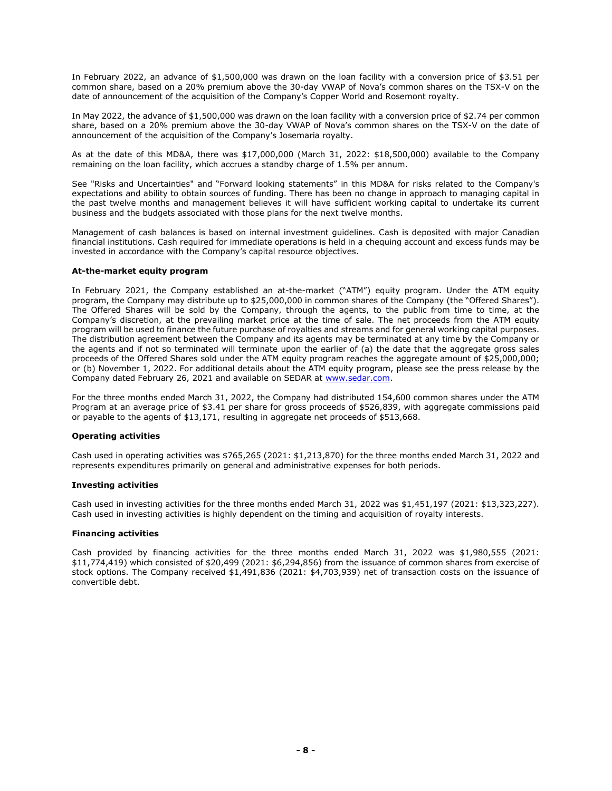In February 2022, an advance of \$1,500,000 was drawn on the loan facility with a conversion price of \$3.51 per common share, based on a 20% premium above the 30-day VWAP of Nova's common shares on the TSX-V on the date of announcement of the acquisition of the Company's Copper World and Rosemont royalty.

In May 2022, the advance of \$1,500,000 was drawn on the loan facility with a conversion price of \$2.74 per common share, based on a 20% premium above the 30-day VWAP of Nova's common shares on the TSX-V on the date of announcement of the acquisition of the Company's Josemaria royalty.

As at the date of this MD&A, there was \$17,000,000 (March 31, 2022: \$18,500,000) available to the Company remaining on the loan facility, which accrues a standby charge of 1.5% per annum.

See "Risks and Uncertainties" and "Forward looking statements" in this MD&A for risks related to the Company's expectations and ability to obtain sources of funding. There has been no change in approach to managing capital in the past twelve months and management believes it will have sufficient working capital to undertake its current business and the budgets associated with those plans for the next twelve months.

Management of cash balances is based on internal investment guidelines. Cash is deposited with major Canadian financial institutions. Cash required for immediate operations is held in a chequing account and excess funds may be invested in accordance with the Company's capital resource objectives.

#### At-the-market equity program

In February 2021, the Company established an at-the-market ("ATM") equity program. Under the ATM equity program, the Company may distribute up to \$25,000,000 in common shares of the Company (the "Offered Shares"). The Offered Shares will be sold by the Company, through the agents, to the public from time to time, at the Company's discretion, at the prevailing market price at the time of sale. The net proceeds from the ATM equity program will be used to finance the future purchase of royalties and streams and for general working capital purposes. The distribution agreement between the Company and its agents may be terminated at any time by the Company or the agents and if not so terminated will terminate upon the earlier of (a) the date that the aggregate gross sales proceeds of the Offered Shares sold under the ATM equity program reaches the aggregate amount of \$25,000,000; or (b) November 1, 2022. For additional details about the ATM equity program, please see the press release by the Company dated February 26, 2021 and available on SEDAR at www.sedar.com.

For the three months ended March 31, 2022, the Company had distributed 154,600 common shares under the ATM Program at an average price of \$3.41 per share for gross proceeds of \$526,839, with aggregate commissions paid or payable to the agents of \$13,171, resulting in aggregate net proceeds of \$513,668.

# Operating activities

Cash used in operating activities was \$765,265 (2021: \$1,213,870) for the three months ended March 31, 2022 and represents expenditures primarily on general and administrative expenses for both periods.

#### Investing activities

Cash used in investing activities for the three months ended March 31, 2022 was \$1,451,197 (2021: \$13,323,227). Cash used in investing activities is highly dependent on the timing and acquisition of royalty interests.

# Financing activities

Cash provided by financing activities for the three months ended March 31, 2022 was \$1,980,555 (2021: \$11,774,419) which consisted of \$20,499 (2021: \$6,294,856) from the issuance of common shares from exercise of stock options. The Company received \$1,491,836 (2021: \$4,703,939) net of transaction costs on the issuance of convertible debt.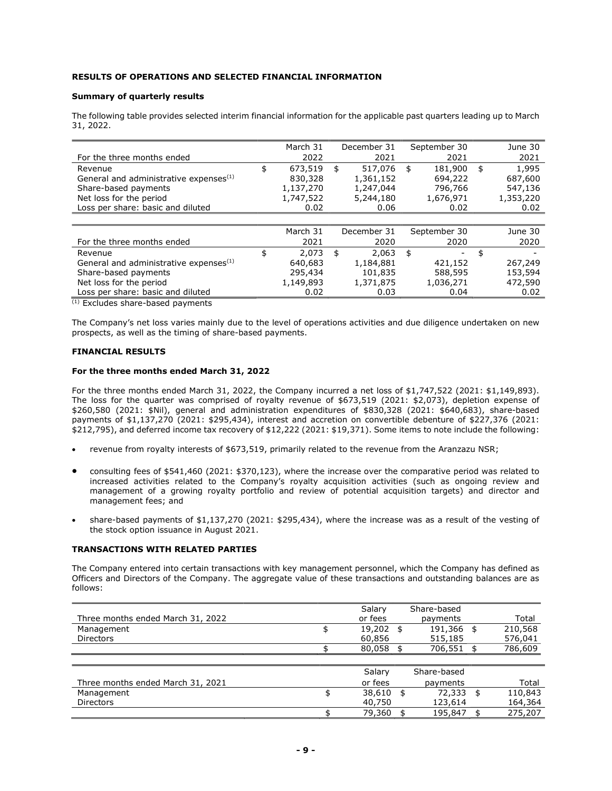# RESULTS OF OPERATIONS AND SELECTED FINANCIAL INFORMATION

#### Summary of quarterly results

The following table provides selected interim financial information for the applicable past quarters leading up to March 31, 2022.

|                                                    | March 31      | December 31   | September 30  | June 30     |
|----------------------------------------------------|---------------|---------------|---------------|-------------|
| For the three months ended                         | 2022          | 2021          | 2021          | 2021        |
| Revenue                                            | \$<br>673,519 | \$<br>517,076 | \$<br>181,900 | \$<br>1,995 |
| General and administrative expenses <sup>(1)</sup> | 830,328       | 1,361,152     | 694,222       | 687,600     |
| Share-based payments                               | 1,137,270     | 1,247,044     | 796,766       | 547,136     |
| Net loss for the period                            | 1,747,522     | 5,244,180     | 1,676,971     | 1,353,220   |
| Loss per share: basic and diluted                  | 0.02          | 0.06          | 0.02          | 0.02        |
|                                                    |               |               |               |             |
|                                                    | March 31      | December 31   | September 30  | June 30     |
| For the three months ended                         | 2021          | 2020          | 2020          | 2020        |
| Revenue                                            | \$<br>2.073   | \$<br>2,063   | \$            | \$          |
| General and administrative expenses <sup>(1)</sup> | 640,683       | 1,184,881     | 421,152       | 267,249     |
| Share-based payments                               | 295,434       | 101,835       | 588,595       | 153,594     |
| Net loss for the period                            | 1,149,893     | 1,371,875     | 1,036,271     | 472,590     |
| Loss per share: basic and diluted                  | 0.02          | 0.03          | 0.04          | 0.02        |

(1) Excludes share-based payments

The Company's net loss varies mainly due to the level of operations activities and due diligence undertaken on new prospects, as well as the timing of share-based payments.

# FINANCIAL RESULTS

#### For the three months ended March 31, 2022

For the three months ended March 31, 2022, the Company incurred a net loss of \$1,747,522 (2021: \$1,149,893). The loss for the quarter was comprised of royalty revenue of \$673,519 (2021: \$2,073), depletion expense of \$260,580 (2021: \$Nil), general and administration expenditures of \$830,328 (2021: \$640,683), share-based payments of \$1,137,270 (2021: \$295,434), interest and accretion on convertible debenture of \$227,376 (2021: \$212,795), and deferred income tax recovery of \$12,222 (2021: \$19,371). Some items to note include the following:

- revenue from royalty interests of \$673,519, primarily related to the revenue from the Aranzazu NSR;
- consulting fees of \$541,460 (2021: \$370,123), where the increase over the comparative period was related to increased activities related to the Company's royalty acquisition activities (such as ongoing review and management of a growing royalty portfolio and review of potential acquisition targets) and director and management fees; and
- share-based payments of \$1,137,270 (2021: \$295,434), where the increase was as a result of the vesting of the stock option issuance in August 2021.

## TRANSACTIONS WITH RELATED PARTIES

The Company entered into certain transactions with key management personnel, which the Company has defined as Officers and Directors of the Company. The aggregate value of these transactions and outstanding balances are as follows:

|                                   | Salary  | Share-based |         |
|-----------------------------------|---------|-------------|---------|
| Three months ended March 31, 2022 | or fees | payments    | Total   |
| Management                        | 19,202  | 191,366     | 210,568 |
| <b>Directors</b>                  | 60.856  | 515,185     | 576,041 |
|                                   | 80.058  | 706,551     | 786,609 |

|                                   | Salary  | Share-based |         |
|-----------------------------------|---------|-------------|---------|
| Three months ended March 31, 2021 | or fees | payments    | Total   |
| Management                        | 38,610  | 72,333      | 110,843 |
| <b>Directors</b>                  | 40,750  | 123.614     | 164,364 |
|                                   | 79.360  | 195,847     | 275,207 |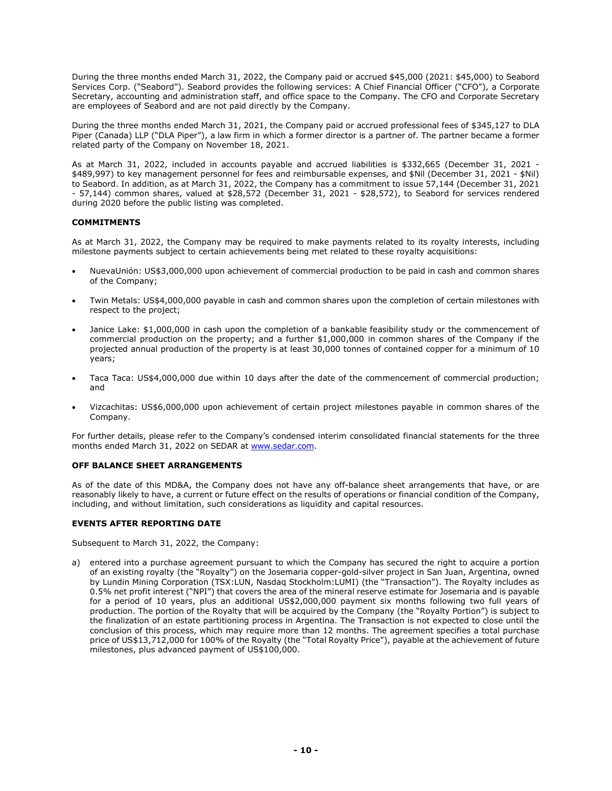During the three months ended March 31, 2022, the Company paid or accrued \$45,000 (2021: \$45,000) to Seabord Services Corp. ("Seabord"). Seabord provides the following services: A Chief Financial Officer ("CFO"), a Corporate Secretary, accounting and administration staff, and office space to the Company. The CFO and Corporate Secretary are employees of Seabord and are not paid directly by the Company.

During the three months ended March 31, 2021, the Company paid or accrued professional fees of \$345,127 to DLA Piper (Canada) LLP ("DLA Piper"), a law firm in which a former director is a partner of. The partner became a former related party of the Company on November 18, 2021.

As at March 31, 2022, included in accounts payable and accrued liabilities is \$332,665 (December 31, 2021 - \$489,997) to key management personnel for fees and reimbursable expenses, and \$Nil (December 31, 2021 - \$Nil) to Seabord. In addition, as at March 31, 2022, the Company has a commitment to issue 57,144 (December 31, 2021 - 57,144) common shares, valued at \$28,572 (December 31, 2021 - \$28,572), to Seabord for services rendered during 2020 before the public listing was completed.

# **COMMITMENTS**

As at March 31, 2022, the Company may be required to make payments related to its royalty interests, including milestone payments subject to certain achievements being met related to these royalty acquisitions:

- NuevaUnión: US\$3,000,000 upon achievement of commercial production to be paid in cash and common shares of the Company;
- Twin Metals: US\$4,000,000 payable in cash and common shares upon the completion of certain milestones with respect to the project;
- Janice Lake: \$1,000,000 in cash upon the completion of a bankable feasibility study or the commencement of commercial production on the property; and a further \$1,000,000 in common shares of the Company if the projected annual production of the property is at least 30,000 tonnes of contained copper for a minimum of 10 years;
- Taca Taca: US\$4,000,000 due within 10 days after the date of the commencement of commercial production; and
- Vizcachitas: US\$6,000,000 upon achievement of certain project milestones payable in common shares of the Company.

For further details, please refer to the Company's condensed interim consolidated financial statements for the three months ended March 31, 2022 on SEDAR at www.sedar.com.

# OFF BALANCE SHEET ARRANGEMENTS

As of the date of this MD&A, the Company does not have any off-balance sheet arrangements that have, or are reasonably likely to have, a current or future effect on the results of operations or financial condition of the Company, including, and without limitation, such considerations as liquidity and capital resources.

# EVENTS AFTER REPORTING DATE

Subsequent to March 31, 2022, the Company:

a) entered into a purchase agreement pursuant to which the Company has secured the right to acquire a portion of an existing royalty (the "Royalty") on the Josemaria copper-gold-silver project in San Juan, Argentina, owned by Lundin Mining Corporation (TSX:LUN, Nasdaq Stockholm:LUMI) (the "Transaction"). The Royalty includes as 0.5% net profit interest ("NPI") that covers the area of the mineral reserve estimate for Josemaria and is payable for a period of 10 years, plus an additional US\$2,000,000 payment six months following two full years of production. The portion of the Royalty that will be acquired by the Company (the "Royalty Portion") is subject to the finalization of an estate partitioning process in Argentina. The Transaction is not expected to close until the conclusion of this process, which may require more than 12 months. The agreement specifies a total purchase price of US\$13,712,000 for 100% of the Royalty (the "Total Royalty Price"), payable at the achievement of future milestones, plus advanced payment of US\$100,000.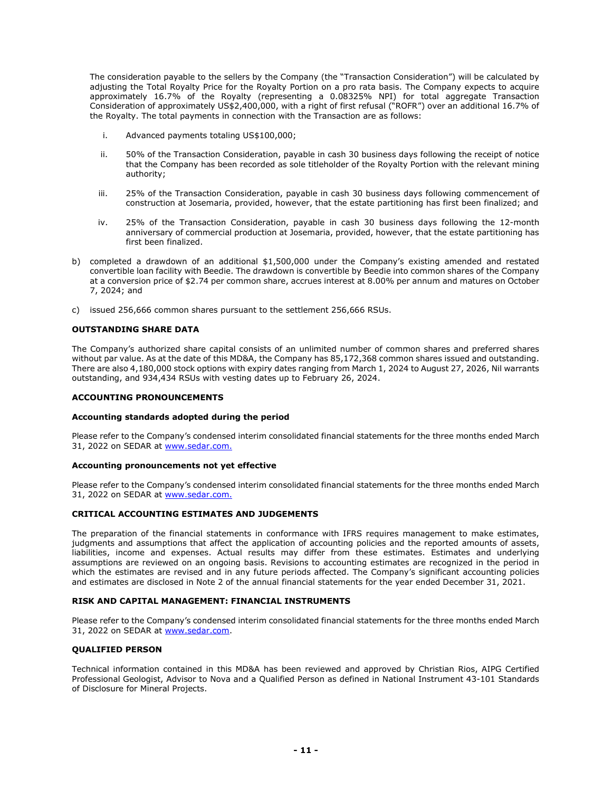The consideration payable to the sellers by the Company (the "Transaction Consideration") will be calculated by adjusting the Total Royalty Price for the Royalty Portion on a pro rata basis. The Company expects to acquire approximately 16.7% of the Royalty (representing a 0.08325% NPI) for total aggregate Transaction Consideration of approximately US\$2,400,000, with a right of first refusal ("ROFR") over an additional 16.7% of the Royalty. The total payments in connection with the Transaction are as follows:

- i. Advanced payments totaling US\$100,000;
- ii. 50% of the Transaction Consideration, payable in cash 30 business days following the receipt of notice that the Company has been recorded as sole titleholder of the Royalty Portion with the relevant mining authority;
- iii. 25% of the Transaction Consideration, payable in cash 30 business days following commencement of construction at Josemaria, provided, however, that the estate partitioning has first been finalized; and
- iv. 25% of the Transaction Consideration, payable in cash 30 business days following the 12-month anniversary of commercial production at Josemaria, provided, however, that the estate partitioning has first been finalized.
- b) completed a drawdown of an additional \$1,500,000 under the Company's existing amended and restated convertible loan facility with Beedie. The drawdown is convertible by Beedie into common shares of the Company at a conversion price of \$2.74 per common share, accrues interest at 8.00% per annum and matures on October 7, 2024; and
- c) issued 256,666 common shares pursuant to the settlement 256,666 RSUs.

## OUTSTANDING SHARE DATA

The Company's authorized share capital consists of an unlimited number of common shares and preferred shares without par value. As at the date of this MD&A, the Company has 85,172,368 common shares issued and outstanding. There are also 4,180,000 stock options with expiry dates ranging from March 1, 2024 to August 27, 2026, Nil warrants outstanding, and 934,434 RSUs with vesting dates up to February 26, 2024.

## ACCOUNTING PRONOUNCEMENTS

## Accounting standards adopted during the period

Please refer to the Company's condensed interim consolidated financial statements for the three months ended March 31, 2022 on SEDAR at www.sedar.com.

#### Accounting pronouncements not yet effective

Please refer to the Company's condensed interim consolidated financial statements for the three months ended March 31, 2022 on SEDAR at www.sedar.com.

### CRITICAL ACCOUNTING ESTIMATES AND JUDGEMENTS

The preparation of the financial statements in conformance with IFRS requires management to make estimates, judgments and assumptions that affect the application of accounting policies and the reported amounts of assets, liabilities, income and expenses. Actual results may differ from these estimates. Estimates and underlying assumptions are reviewed on an ongoing basis. Revisions to accounting estimates are recognized in the period in which the estimates are revised and in any future periods affected. The Company's significant accounting policies and estimates are disclosed in Note 2 of the annual financial statements for the year ended December 31, 2021.

## RISK AND CAPITAL MANAGEMENT: FINANCIAL INSTRUMENTS

Please refer to the Company's condensed interim consolidated financial statements for the three months ended March 31, 2022 on SEDAR at www.sedar.com.

# QUALIFIED PERSON

Technical information contained in this MD&A has been reviewed and approved by Christian Rios, AIPG Certified Professional Geologist, Advisor to Nova and a Qualified Person as defined in National Instrument 43-101 Standards of Disclosure for Mineral Projects.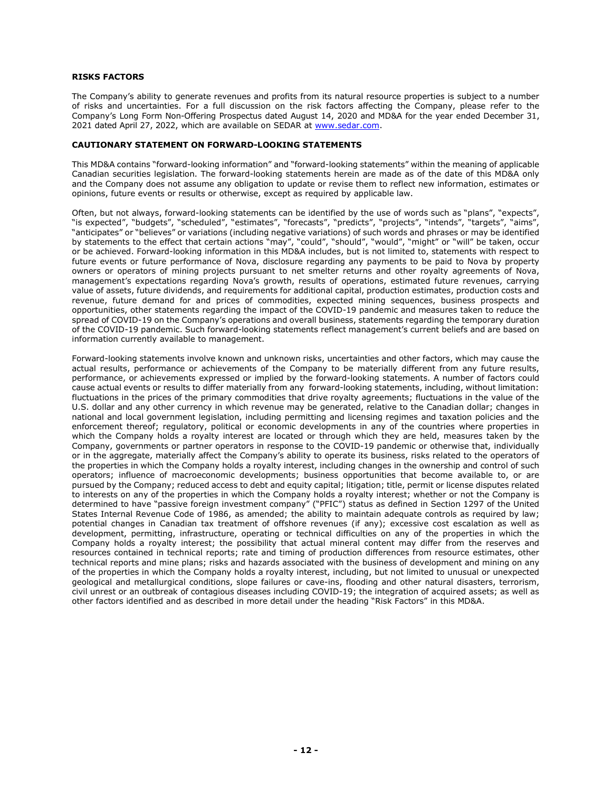## RISKS FACTORS

The Company's ability to generate revenues and profits from its natural resource properties is subject to a number of risks and uncertainties. For a full discussion on the risk factors affecting the Company, please refer to the Company's Long Form Non-Offering Prospectus dated August 14, 2020 and MD&A for the year ended December 31, 2021 dated April 27, 2022, which are available on SEDAR at www.sedar.com.

#### CAUTIONARY STATEMENT ON FORWARD-LOOKING STATEMENTS

This MD&A contains "forward-looking information" and "forward-looking statements" within the meaning of applicable Canadian securities legislation. The forward-looking statements herein are made as of the date of this MD&A only and the Company does not assume any obligation to update or revise them to reflect new information, estimates or opinions, future events or results or otherwise, except as required by applicable law.

Often, but not always, forward-looking statements can be identified by the use of words such as "plans", "expects", "is expected", "budgets", "scheduled", "estimates", "forecasts", "predicts", "projects", "intends", "targets", "aims", "anticipates" or "believes" or variations (including negative variations) of such words and phrases or may be identified by statements to the effect that certain actions "may", "could", "should", "would", "might" or "will" be taken, occur or be achieved. Forward-looking information in this MD&A includes, but is not limited to, statements with respect to future events or future performance of Nova, disclosure regarding any payments to be paid to Nova by property owners or operators of mining projects pursuant to net smelter returns and other royalty agreements of Nova, management's expectations regarding Nova's growth, results of operations, estimated future revenues, carrying value of assets, future dividends, and requirements for additional capital, production estimates, production costs and revenue, future demand for and prices of commodities, expected mining sequences, business prospects and opportunities, other statements regarding the impact of the COVID-19 pandemic and measures taken to reduce the spread of COVID-19 on the Company's operations and overall business, statements regarding the temporary duration of the COVID-19 pandemic. Such forward-looking statements reflect management's current beliefs and are based on information currently available to management.

Forward-looking statements involve known and unknown risks, uncertainties and other factors, which may cause the actual results, performance or achievements of the Company to be materially different from any future results, performance, or achievements expressed or implied by the forward-looking statements. A number of factors could cause actual events or results to differ materially from any forward-looking statements, including, without limitation: fluctuations in the prices of the primary commodities that drive royalty agreements; fluctuations in the value of the U.S. dollar and any other currency in which revenue may be generated, relative to the Canadian dollar; changes in national and local government legislation, including permitting and licensing regimes and taxation policies and the enforcement thereof; regulatory, political or economic developments in any of the countries where properties in which the Company holds a royalty interest are located or through which they are held, measures taken by the Company, governments or partner operators in response to the COVID-19 pandemic or otherwise that, individually or in the aggregate, materially affect the Company's ability to operate its business, risks related to the operators of the properties in which the Company holds a royalty interest, including changes in the ownership and control of such operators; influence of macroeconomic developments; business opportunities that become available to, or are pursued by the Company; reduced access to debt and equity capital; litigation; title, permit or license disputes related to interests on any of the properties in which the Company holds a royalty interest; whether or not the Company is determined to have "passive foreign investment company" ("PFIC") status as defined in Section 1297 of the United States Internal Revenue Code of 1986, as amended; the ability to maintain adequate controls as required by law; potential changes in Canadian tax treatment of offshore revenues (if any); excessive cost escalation as well as development, permitting, infrastructure, operating or technical difficulties on any of the properties in which the Company holds a royalty interest; the possibility that actual mineral content may differ from the reserves and resources contained in technical reports; rate and timing of production differences from resource estimates, other technical reports and mine plans; risks and hazards associated with the business of development and mining on any of the properties in which the Company holds a royalty interest, including, but not limited to unusual or unexpected geological and metallurgical conditions, slope failures or cave-ins, flooding and other natural disasters, terrorism, civil unrest or an outbreak of contagious diseases including COVID-19; the integration of acquired assets; as well as other factors identified and as described in more detail under the heading "Risk Factors" in this MD&A.